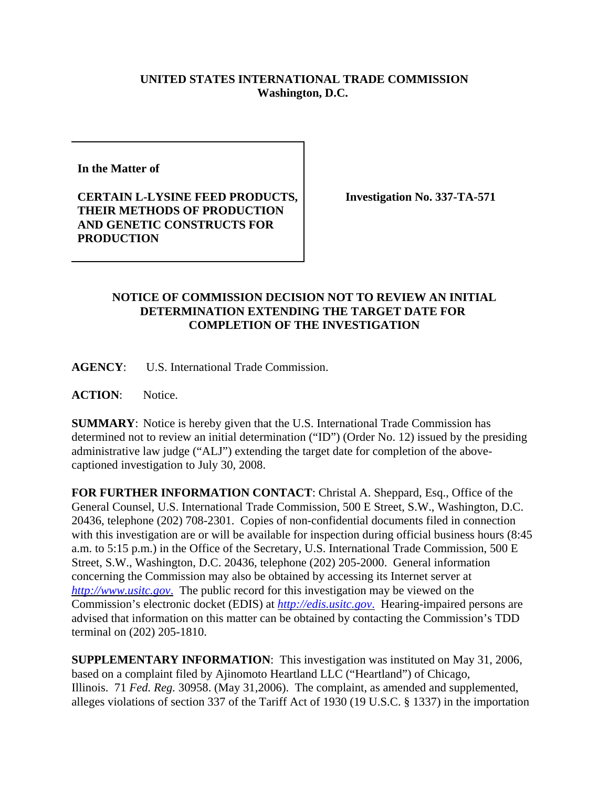## **UNITED STATES INTERNATIONAL TRADE COMMISSION Washington, D.C.**

**In the Matter of** 

**CERTAIN L-LYSINE FEED PRODUCTS, THEIR METHODS OF PRODUCTION AND GENETIC CONSTRUCTS FOR PRODUCTION**

**Investigation No. 337-TA-571**

## **NOTICE OF COMMISSION DECISION NOT TO REVIEW AN INITIAL DETERMINATION EXTENDING THE TARGET DATE FOR COMPLETION OF THE INVESTIGATION**

**AGENCY**: U.S. International Trade Commission.

**ACTION**: Notice.

**SUMMARY**: Notice is hereby given that the U.S. International Trade Commission has determined not to review an initial determination ("ID") (Order No. 12) issued by the presiding administrative law judge ("ALJ") extending the target date for completion of the abovecaptioned investigation to July 30, 2008.

**FOR FURTHER INFORMATION CONTACT**: Christal A. Sheppard, Esq., Office of the General Counsel, U.S. International Trade Commission, 500 E Street, S.W., Washington, D.C. 20436, telephone (202) 708-2301. Copies of non-confidential documents filed in connection with this investigation are or will be available for inspection during official business hours (8:45) a.m. to 5:15 p.m.) in the Office of the Secretary, U.S. International Trade Commission, 500 E Street, S.W., Washington, D.C. 20436, telephone (202) 205-2000. General information concerning the Commission may also be obtained by accessing its Internet server at *http://www.usitc.gov*. The public record for this investigation may be viewed on the Commission's electronic docket (EDIS) at *http://edis.usitc.gov*. Hearing-impaired persons are advised that information on this matter can be obtained by contacting the Commission's TDD terminal on (202) 205-1810.

**SUPPLEMENTARY INFORMATION**: This investigation was instituted on May 31, 2006, based on a complaint filed by Ajinomoto Heartland LLC ("Heartland") of Chicago, Illinois. 71 *Fed. Reg.* 30958. (May 31,2006). The complaint, as amended and supplemented, alleges violations of section 337 of the Tariff Act of 1930 (19 U.S.C. § 1337) in the importation